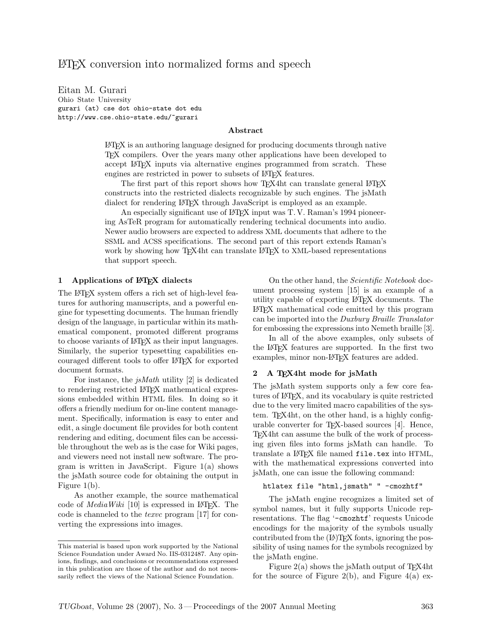# LATEX conversion into normalized forms and speech

Eitan M. Gurari Ohio State University gurari (at) cse dot ohio-state dot edu http://www.cse.ohio-state.edu/~gurari

#### Abstract

LATEX is an authoring language designed for producing documents through native TEX compilers. Over the years many other applications have been developed to accept LATEX inputs via alternative engines programmed from scratch. These engines are restricted in power to subsets of LAT<sub>EX</sub> features.

The first part of this report shows how T<sub>EX4</sub>ht can translate general L<sup>AT</sup>EX constructs into the restricted dialects recognizable by such engines. The jsMath dialect for rendering LAT<sub>EX</sub> through JavaScript is employed as an example.

An especially significant use of LAT<sub>EX</sub> input was T.V. Raman's 1994 pioneering AsTeR program for automatically rendering technical documents into audio. Newer audio browsers are expected to address XML documents that adhere to the SSML and ACSS specifications. The second part of this report extends Raman's work by showing how TEX4ht can translate LATEX to XML-based representations that support speech.

### 1 Applications of LATEX dialects

The LATEX system offers a rich set of high-level features for authoring manuscripts, and a powerful engine for typesetting documents. The human friendly design of the language, in particular within its mathematical component, promoted different programs to choose variants of LAT<sub>EX</sub> as their input languages. Similarly, the superior typesetting capabilities encouraged different tools to offer LATEX for exported document formats.

For instance, the jsMath utility [2] is dedicated to rendering restricted LATEX mathematical expressions embedded within HTML files. In doing so it offers a friendly medium for on-line content management. Specifically, information is easy to enter and edit, a single document file provides for both content rendering and editing, document files can be accessible throughout the web as is the case for Wiki pages, and viewers need not install new software. The program is written in JavaScript. Figure 1(a) shows the jsMath source code for obtaining the output in Figure 1(b).

As another example, the source mathematical code of  $MediaWiki$  [10] is expressed in LAT<sub>EX</sub>. The code is channeled to the texvc program [17] for converting the expressions into images.

On the other hand, the Scientific Notebook document processing system [15] is an example of a utility capable of exporting LATEX documents. The LATEX mathematical code emitted by this program can be imported into the Duxbury Braille Translator for embossing the expressions into Nemeth braille [3].

In all of the above examples, only subsets of the LATEX features are supported. In the first two examples, minor non-LATEX features are added.

#### 2 A TFX4ht mode for jsMath

The jsMath system supports only a few core features of LATEX, and its vocabulary is quite restricted due to the very limited macro capabilities of the system. T<sub>E</sub>X4ht, on the other hand, is a highly configurable converter for TEX-based sources [4]. Hence, TEX4ht can assume the bulk of the work of processing given files into forms jsMath can handle. To translate a LAT<sub>F</sub>X file named file.tex into HTML, with the mathematical expressions converted into jsMath, one can issue the following command:

### htlatex file "html,jsmath" " -cmozhtf"

The jsMath engine recognizes a limited set of symbol names, but it fully supports Unicode representations. The flag '-cmozhtf' requests Unicode encodings for the majority of the symbols usually contributed from the (LA)TEX fonts, ignoring the possibility of using names for the symbols recognized by the jsMath engine.

Figure  $2(a)$  shows the jsMath output of T<sub>E</sub>X4ht for the source of Figure 2(b), and Figure 4(a) ex-

This material is based upon work supported by the National Science Foundation under Award No. IIS-0312487. Any opinions, findings, and conclusions or recommendations expressed in this publication are those of the author and do not necessarily reflect the views of the National Science Foundation.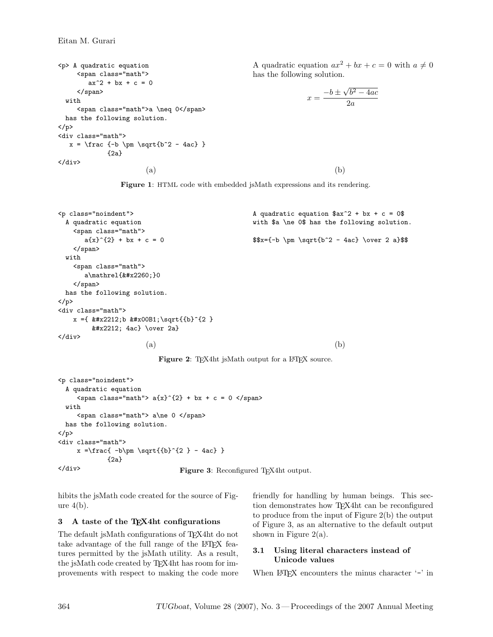```
<p> A quadratic equation
     <span class="math">
       ax^2 + bx + c = 0</span>
 with
     <span class="math">a \neq 0</span>
 has the following solution.
\langle/p>
<div class="math">
  x = \frac{-b \pm \sqrt{b^2 - 4ac}}{2a}</div>
                                                    A quadratic equation ax^2 + bx + c = 0 with a \neq 0has the following solution.
                                                                  x = \frac{-b \pm \sqrt{a^2 - 4ac}}{2a}√
                                                                             b^2 - 4ac2a
                       (a) (b)
```


```
<p class="noindent">
 A quadratic equation
   <span class="math">
      a{x}^{2}(2) + bx + c = 0</span>
 with
   <span class="math">
      a\mathrel{&#x2260;}0
   </span>
 has the following solution.
\langle/p>
<div class="math">
   x = \{ \&\#x2212; b \&\#x00B1; \sqrt{x+t}{b}^{2 }
        − 4ac} \over 2a}
</div>
                                                A quadratic equation x^2 + bx + c = 0with $a \ne 0$ has the following solution.
                                                $x={-b \pm \sqrt{b^2 - 4ac}} \over 2 a}(a) (b)
```
Figure 2: TEX4ht jsMath output for a L<sup>AT</sup>EX source.

```
<p class="noindent">
  A quadratic equation
     \langlespan class="math"> a{x}^{2} + bx + c = 0 </span>
 with
     <span class="math"> a\ne 0 </span>
 has the following solution.
\langle/p>
<div class="math">
    x = \frac{-b}{pm \sqrt{b}^{2} - 4ac}{2a}
</div> Figure 3: Reconfigured T<sub>E</sub>X4ht output.
```
hibits the jsMath code created for the source of Figure  $4(b)$ .

### 3 A taste of the TEX4ht configurations

The default jsMath configurations of TEX4ht do not take advantage of the full range of the LATEX features permitted by the jsMath utility. As a result, the jsMath code created by TEX4ht has room for improvements with respect to making the code more friendly for handling by human beings. This section demonstrates how TEX4ht can be reconfigured to produce from the input of Figure 2(b) the output of Figure 3, as an alternative to the default output shown in Figure  $2(a)$ .

### 3.1 Using literal characters instead of Unicode values

When LAT<sub>EX</sub> encounters the minus character  $-$  in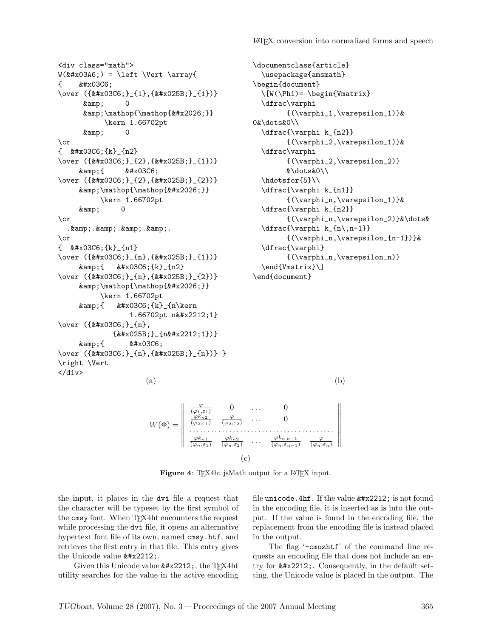```
<div class="math">
W(Φ) = \left \Vert \array{
\{ \&\#x03C6; \\over ({φ}_{1},{ɛ}_{1})}
    \&; 0
    &\mathop{\mathop{…}}
         \kern 1.66702pt
    & amp; 0
\cr
\{ k#x03C6; \{k\} \[n2]
\overline{(k\#x03C6;} {k\#x025B;} {1})}
    \&amp; { \&#x03C6;
\over ({φ}_{2},{ɛ}_{2})}
    &\mathop{\mathop{…}}
        \kern 1.66702pt
    \&; 0
\cr
  . & . & . & .
\chi_{\rm cr}\{ \&\#x03C6;\{k\} _{n1}\}\over ({φ}_{n},{ɛ}_{1})}
    \& { \& #x03C6 ; {k} \[n2}
\over ({φ}_{n},{ɛ}_{2})}
    &\mathop{\mathop{…}}
        \kern 1.66702pt
    \&25 \&4x03C6; {k} {n\kern
              1.66702pt n−1}
\overline{\text{0}} ({\text{2}#x03C6;} {n},
          {x#x025B;}_{n−1})}
    \&amp; { \&#x03C6;
\over ({φ}_{n},{ɛ}_{n})} }
\right \Vert
</div>
                 (a) (b)
```

```
\documentclass{article}
  \usepackage{amsmath}
\begin{document}
 \[W(\Phi)= \begin{Vmatrix}
 \dfrac\varphi
        {(\varphi_1,\varepsilon_1)}&
0&\dots&0\\
 \dfrac{\varphi k_{n2}}
        {(\varphi_2,\varepsilon_1)}&
 \dfrac\varphi
        {(\varphi_2,\varepsilon_2)}
       &\dots&0\\
 \hdotsfor{5}\\
 \dfrac{\varphi k_{n1}}
        {(\varphi_n,\varepsilon_1)}&
 \dfrac{\varphi k_{n2}}
        {(\varphi_n,\varepsilon_2)}&\dots&
 \dfrac{\varphi k_{n},n-1}}{(\varphi_n,\varepsilon_{n-1})}&
 \dfrac{\varphi}
        {(\varphi_n,\varepsilon_n)}
  \end{Vmatrix}\]
\end{document}
```

```
W(\Phi) =

                                       \frac{\varphi}{(\varphi_1,\varepsilon_1)} 0 ... 0
                                       \frac{\varphi k_{n2}}{(\varphi_2,\varepsilon_1)} \frac{\varphi}{(\varphi_2,\varepsilon_2)} ... 0
                                      . . . . . . . . . . . . . . . . . . . . . . . . . . . . . . . . . . . . . . . .
                                       \frac{\varphi k_{n1}}{(\varphi_n, \varepsilon_1)} \frac{\varphi k_{n2}}{(\varphi_n, \varepsilon_2)} ... \frac{\varphi k_{n n-1}}{(\varphi_n, \varepsilon_{n-1})}\frac{\varphi k_{n,n-1}}{(\varphi_n,\varepsilon_{n-1})} \frac{\varphi}{(\varphi_n,\varepsilon_n)}

                                                                                       (c)
```
Figure 4: TEX4ht jsMath output for a L<sup>AT</sup>EX input.

the input, it places in the dvi file a request that the character will be typeset by the first symbol of the cmsy font. When T<sub>E</sub>X4ht encounters the request while processing the dvi file, it opens an alternative hypertext font file of its own, named cmsy.htf, and retrieves the first entry in that file. This entry gives the Unicode value  $\text{\#}x2212$ ;.

Given this Unicode value  $*#x2212$ ;, the TEX4ht utility searches for the value in the active encoding file unicode.4hf. If the value  $*$ #x2212; is not found in the encoding file, it is inserted as is into the output. If the value is found in the encoding file, the replacement from the encoding file is instead placed in the output.

The flag '-cmozhtf' of the command line requests an encoding file that does not include an entry for −. Consequently, in the default setting, the Unicode value is placed in the output. The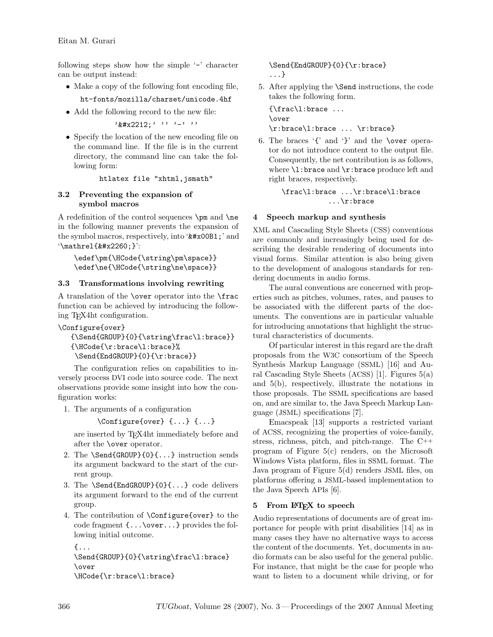following steps show how the simple '-' character can be output instead:

• Make a copy of the following font encoding file,

ht-fonts/mozilla/charset/unicode.4hf

• Add the following record to the new file:

' *k*#x2212;' '' '' '''

• Specify the location of the new encoding file on the command line. If the file is in the current directory, the command line can take the following form:

htlatex file "xhtml, jsmath"

### 3.2 Preventing the expansion of symbol macros

A redefinition of the control sequences \pm and \ne in the following manner prevents the expansion of the symbol macros, respectively, into ' $\&\#x00B1$ ;' and  $\mathcal{L}$  \*\mathrel{ $\&\#x2260$ ; }':

\edef\pm{\HCode{\string\pm\space}} \edef\ne{\HCode{\string\ne\space}}

## 3.3 Transformations involving rewriting

A translation of the \over operator into the \frac function can be achieved by introducing the following TEX4ht configuration.

```
\Configure{over}
```

```
{\Send{GROUP}{0}{\string\frac\l:brace}}
{\HCode{\r:brace\l:brace}%
 \Send{EndGROUP}{0}{\r:brace}}
```
The configuration relies on capabilities to inversely process DVI code into source code. The next observations provide some insight into how the configuration works:

1. The arguments of a configuration

```
\Configure{over} {...} {...}
```
are inserted by TEX4ht immediately before and after the \over operator.

- 2. The \Send{GROUP}{0}{...} instruction sends its argument backward to the start of the current group.
- 3. The \Send{EndGROUP}{0}{...} code delivers its argument forward to the end of the current group.
- 4. The contribution of \Configure{over} to the code fragment {...\over...} provides the following initial outcome.

```
{...
\Send{GROUP}{0}{\string\frac\l:brace}
\over
\HCode{\r:brace\l:brace}
```
\Send{EndGROUP}{0}{\r:brace} ...}

5. After applying the \Send instructions, the code takes the following form.

{\frac\l:brace ... \over \r:brace\l:brace ... \r:brace}

6. The braces '{' and '}' and the \over operator do not introduce content to the output file. Consequently, the net contribution is as follows, where \l:brace and \r:brace produce left and right braces, respectively.

> \frac\l:brace ...\r:brace\l:brace ...\r:brace

# 4 Speech markup and synthesis

XML and Cascading Style Sheets (CSS) conventions are commonly and increasingly being used for describing the desirable rendering of documents into visual forms. Similar attention is also being given to the development of analogous standards for rendering documents in audio forms.

The aural conventions are concerned with properties such as pitches, volumes, rates, and pauses to be associated with the different parts of the documents. The conventions are in particular valuable for introducing annotations that highlight the structural characteristics of documents.

Of particular interest in this regard are the draft proposals from the W3C consortium of the Speech Synthesis Markup Language (SSML) [16] and Aural Cascading Style Sheets (ACSS) [1]. Figures 5(a) and 5(b), respectively, illustrate the notations in those proposals. The SSML specifications are based on, and are similar to, the Java Speech Markup Language (JSML) specifications [7].

Emacspeak [13] supports a restricted variant of ACSS, recognizing the properties of voice-family, stress, richness, pitch, and pitch-range. The C++ program of Figure 5(c) renders, on the Microsoft Windows Vista platform, files in SSML format. The Java program of Figure 5(d) renders JSML files, on platforms offering a JSML-based implementation to the Java Speech APIs [6].

## 5 From LAT<sub>EX</sub> to speech

Audio representations of documents are of great importance for people with print disabilities [14] as in many cases they have no alternative ways to access the content of the documents. Yet, documents in audio formats can be also useful for the general public. For instance, that might be the case for people who want to listen to a document while driving, or for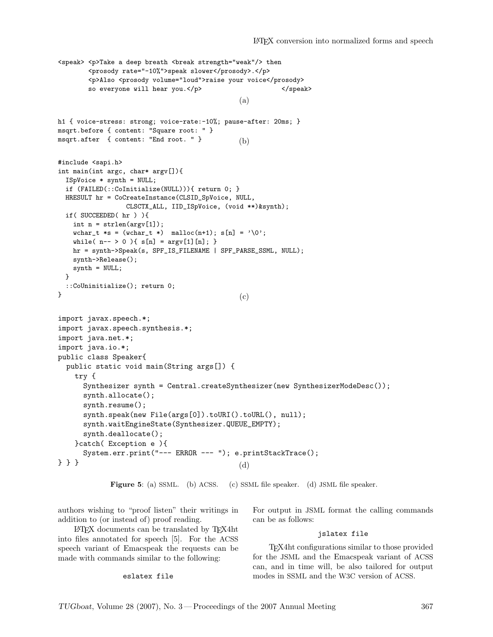```
<speak> <p>Take a deep breath <break strength="weak"/> then
       <prosody rate="-10%">speak slower</prosody>.</p>
       <p>Also <prosody volume="loud">raise your voice</prosody>
       so everyone will hear you.</p>
\langle/speak>
\langle/speak>
\langle/speak>
                                            (a)
h1 { voice-stress: strong; voice-rate:-10%; pause-after: 20ms; }
msqrt.before { content: "Square root: " }
msqrt.after { content: "End root. " } (b)#include <sapi.h>
int main(int argc, char* argv[]){
 ISpVoice * synth = NULL;
  if (FAILED(::CoInitialize(NULL))){ return 0; }
 HRESULT hr = CoCreateInstance(CLSID_SpVoice, NULL,
                CLSCTX_ALL, IID_ISpVoice, (void **)&synth);
  if( SUCCEEDED( hr ) ){
   int n = strlen(argv[1]);wchar_t *s = (wchar_t *) malloc(n+1); s[n] = ' \0;
   while( n-- > 0 ){ s[n] = argv[1][n]; }
   hr = synth->Speak(s, SPF_IS_FILENAME | SPF_PARSE_SSML, NULL);
   synth->Release();
   synth = NULL;
 }
  ::CoUninitialize(); return 0;
\} (c)
import javax.speech.*;
import javax.speech.synthesis.*;
import java.net.*;
import java.io.*;
public class Speaker{
  public static void main(String args[]) {
    try {
      Synthesizer synth = Central.createSynthesizer(new SynthesizerModeDesc());
      synth.allocate();
      synth.resume();
      synth.speak(new File(args[0]).toURI().toURL(), null);
      synth.waitEngineState(Synthesizer.QUEUE_EMPTY);
      synth.deallocate();
    }catch( Exception e ){
      System.err.print("--- ERROR --- "); e.printStackTrace();
} } } (d)
```
Figure 5: (a) SSML. (b) ACSS. (c) SSML file speaker. (d) JSML file speaker.

authors wishing to "proof listen" their writings in addition to (or instead of) proof reading.

LATEX documents can be translated by TEX4ht into files annotated for speech [5]. For the ACSS speech variant of Emacspeak the requests can be made with commands similar to the following:

### eslatex file

For output in JSML format the calling commands can be as follows:

#### jslatex file

TEX4ht configurations similar to those provided for the JSML and the Emacspeak variant of ACSS can, and in time will, be also tailored for output modes in SSML and the W3C version of ACSS.